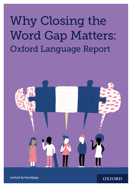# Why Closing the Word Gap Matters: Oxford Language Report



oxford.ly/wordgap

**OXFORD**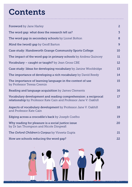# **Contents**

| <b>Foreword</b> by Jane Harley                                                                                                      | $\overline{2}$ |
|-------------------------------------------------------------------------------------------------------------------------------------|----------------|
| The word gap: what does the research tell us?                                                                                       | $\overline{3}$ |
| The word gap in secondary schools by Lionel Bolton                                                                                  | 8              |
| Mind the (word) gap by Geoff Barton                                                                                                 | 9              |
| Case study: Handsworth Grange Community Sports College                                                                              | 10             |
| The impact of the word gap in primary schools by Andrea Quincey                                                                     | 11             |
| Vocabulary – caught or taught? by Jean Gross CBE                                                                                    | 12             |
| Case study: Ideas for developing vocabulary by Janine Wooldridge                                                                    | 13             |
| The importance of developing a rich vocabulary by David Reedy                                                                       | 14             |
| The importance of learning language in the context of use<br>by Professor Teresa Cremin                                             | 15             |
| <b>Reading and language acquisition</b> by James Clements                                                                           | 16             |
| Vocabulary development and reading comprehension: a reciprocal<br>relationship by Professor Kate Cain and Professor Jane V. Oakhill | 17             |
| Aspects of vocabulary development by Professor Jane V. Oakhill<br>and Professor Kate Cain                                           | 18             |
| Edging across a crocodile's back by Joseph Coelho                                                                                   | 19             |
| Why reading for pleasure is a social justice issue<br>by Dr Ian Thompson and Nicole Dingwall                                        | 20             |
| The Oxford Children's Corpus by Vineeta Gupta                                                                                       | 21             |
| How are schools reducing the word gap?                                                                                              | 22             |

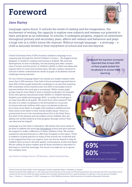### Foreword

#### Jane Harley

Language opens doors. It unlocks the world of reading and the imagination, the excitement of writing, the capacity to explore new subjects and releases our potential to learn and grow as an individual. In schools, it underpins progress, impacts on attainment throughout primary and secondary years, affects self-esteem and behaviour and plays a huge role in a child's future life chances. Without enough language – a word gap – a child is seriously limited in their enjoyment of school and success beyond.

. . . . . . . . . . .

Oxford University Press (OUP) monitors children's language in an ongoing way through the *Oxford Children's Corpus* – the biggest living database of children's reading and writing in English. We track the development of new vocabulary, the fascinating and often creative uses of words, and the power of children's ability to distil new ideas and express them in novel and exciting ways. We also conduct research in schools to better understand the needs of pupils of all abilities and the challenges facing teachers.

For our *Oxford Language Report* we carried out market research with more than 1,000 teachers. Over half of those surveyed reported that at least 40% of their pupils lacked the vocabulary to access their learning. 69% of primary school teachers and over 60% of secondary school teachers believe the word gap is increasing<sup>1</sup>. While certain pupil groups may be more likely to have a limited vocabulary, for example those with special educational needs (SEND) or children learning English as an additional language (EAL), in reality the word gap is an issue that affects all pupils<sup>2</sup>. We know from other research<sup>3</sup> that the size of a child's vocabulary is the best predictor of success on future tests and children with a poor vocabulary at five are four times more likely to struggle with reading in adulthood and three times more likely to have mental health issues. There is a government focus to do something about this in the Early Years, but what of the primary and secondary school children who are falling ever further behind as they progress through school? How can they best be helped?

Language is at the heart of education. We believe that more needs to be done to address the word gap throughout school and give teachers the support to make a difference to these children's lives. We invited academics and practitioners to offer their thoughts in this report. There is evidence of great practice in many of the schools we contacted and in the suggestions from our experts; how can this be shared to help all children have access to the best quality conversations, books and ideas? We are calling on policy makers and all those involved in education to find ways to close the word gap. Too much is at stake for us to ignore this complex issue.

*Jane Harley is Strategy Director, UK Education, Oxford University Press*

*Over half the teachers surveyed reported that at least 40% of their pupils lacked the vocabulary to access their learning.*



believe the word gap is increasing

1 Oxford University Press (2018). *Oxford Language Thought Leadership Report*. (Available on request) 2Oxford University Press (2018) op cit.: 44% of primary school teachers in the survey (of 473 primary teachers who took part) and 43% of secondary school teachers in the survey (of 840 secondary teachers who took part) reported that this is a general problem not specific to any one group of students. 3 Law, J., Charlton, J., Asmussen, K. (2017). *Language as a Child Wellbeing Indicator*. Early Intervention Foundation/Newcastle University.

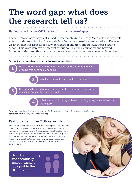### The word gap: what does the research tell us?

#### Background to the OUP research into the word gap

The term "word gap" is typically used to refer to children in Early Years' settings or pupils entering primary school with a vocabulary far below age-related expectations. However we know that this issue affects a wider range of children, and not just those starting school. This word gap can be present throughout a child's education and beyond. To better understand this complex issue we conducted an online survey with teachers.

#### Our objective was to answer the following questions:

What proportion of children are affected by the word gap in UK primary and secondary schools? 1

What are the root causes of the word gap?

How does the word gap impact on pupils' academic achievement,<br>as well as their wider life chances?

What successful strategies have schools put in place to close the<br>word gap?

By answering these important questions OUP hopes to be able to better support schools to narrow and ultimately close the word gap.

#### Participants in the OUP research

The survey was met with an enthusiastic response. We received over 1,300 completed surveys from teachers across the UK, including responses from 840 secondary school teachers and 473 primary school teachers. We collected a diverse range of teacher perspectives as participants had a range of job titles, taught various subjects and were from different education phases. The survey was live between December 2017 and January 2018.

Over 1,300 primary and secondary school teachers took part in the OUP research

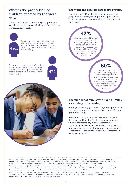#### What is the proportion of children affected by the word gap?

Our research found that the word gap represents a significant and widespread challenge to both primary and secondary schools.



On average, primary school teachers who took part in the survey reported that 49% of Year 1 pupils have a limited vocabulary to the extent that it affects their learning.

On average, secondary school teachers who took part in the survey reported that 43% of Year 7 pupils have a limited vocabulary to the extent that it affects their learning.



#### The word gap persists across age groups.

Teachers reported that despite implementing a wide range of programmes, the proportion of pupils with a limited vocabulary remains stubbornly high across all age groups.

43% of primary school teachers who took part in OUP research reported that the proportion of children with a low vocabulary in their school between Year 1 and Year 6 had either remained the same or increased.4



of secondary school teachers who took part in OUP research reported that the proportion of children with a low vocabulary in their school between Year 7 and Year 11 had either remained the same or increased<sup>5</sup>

#### The number of pupils who have a limited vocabulary is increasing.

Although the word gap is already large, both primary and secondary school teachers report that they feel the word gap is increasing.

69% of the primary school teachers who took part in the survey said that they think the number of pupils with limited vocabulary is either increasing or significantly increasing in their schools compared to a few years ago. A similarly high proportion of secondary school teachers believe the word gap has increased in recent years (60%).6

4Oxford University Press (2018) op cit.: 24% of primary teachers surveyed (of 400 who took part) saw no change to the proportion of pupils with a limited vocabulary to the extent it affects their learning in their time at school between Year 1 and Year 6. 19% of primary teachers surveyed have seen an increase in the proportion of pupils with limited vocabulary in their school between Year 1 and Year 6 in their school. 5 Oxford University Press (2018) op cit.: 27% of secondary teachers surveyed (of 703 who took part) saw no change to the proportion of pupils with a limited vocabulary to the extent it affects their learning in their time at school between Year 7 and Year 11. 33% of secondary teachers surveyed have seen an increase in the proportion of pupils with limited vocabulary between Year 7 and Year 11 in their school. 6Oxford University Press (2018) op cit.: 50% of primary teachers surveyed (of 473 who took part) felt the proportion of pupils with a limited vocabulary is increasing. 19% felt it is significantly increasing. 48% of secondary teachers (of 840 who took part) felt the number of pupils with a limited vocabulary is increasing. 12% felt it is significantly increasing.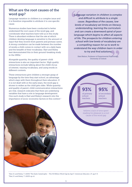#### What are the root causes of the word gap?

Language variation in children is a complex issue and it is therefore impossible to attribute it to one specific cause.

Numerous studies have been conducted to better understand the root cause of the word gap, and corroborate what teachers have told us in this study. There is abundant evidence that the rate at which children develop language is sensitive to the amount of input that they receive from parents and primary carers. A strong correlation can be made between the number of words a child comes in contact with on a daily basis and the breadth of their vocabulary. Hart and Risley best demonstrated this in their ground-breaking study in the 1990s.7

Alongside quantity, the quality of parent-child interactions is also an important factor. High quality interactions include talking about the child's focus of interest, varying vocabulary, and using words in different contexts.

These interactions give children a stronger grasp of language by the time they start school, an advantage which stays with them throughout their education. If it is not dealt with in the early years, the word gap is shown to widen as the child gets older. While quantity and quality of parent-child communication interactions are vital, research indicates that there are underlying variables that have a role in language development. One such study is Hart and Risley's research into the importance of socio-economic factors in this context.<sup>8</sup>

*Language variation in children is complex and difficult to attribute to a single cause. Regardless of the causes, low levels of vocabulary set limits on literacy, understanding, learning the curriculum and can create a downward spiral of poor language which begins to affect all aspects of life. The prospects for children entering school with low levels of vocabulary are a compelling reason for us to work to understand the way children learn in order to try and find solutions.*

Kate Nation, Professor of Experimental Psychology, University of Oxford

95%

of secondary school teachers

#### 93% of primary school teachers

believe a lack of time spent reading for pleasure is a root cause of the word gap



7 Hart, B. and Risley, T. (2003) 'The Early Catastrophe – The 30 Million Word Gap by Age 3'. American Educator. 27, pp.4-9. 8Hart, B. and Risley, T. (2003) op cit.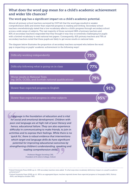#### What does the word gap mean for a child's academic achievement and wider life chances?

#### The word gap has a significant impact on a child's academic potential.

Almost all primary school teachers surveyed by OUP felt that the word gap resulted in weaker comprehension skills and slower than expected progress in reading and writing. Secondary school teachers overwhelmingly stated that a low vocabulary affects a child's progress through secondary school across a wide range of subjects. The vast majority of those surveyed (86% of primary teachers and 80% of secondary teachers) responded that they thought it was very or extremely challenging for pupils with a limited vocabulary to read national test papers. Consequently, 82% primary teachers and 79% of secondary teachers noted that these pupils are likely to get worse results in national tests.

The diagram below illustrates the proportion of secondary teachers surveyed who believe the word gap is impacting on pupils' academic achievement in the following ways<sup>9</sup>.



*Language is the foundation of education and is vital for social and emotional development. Children with poor oral language are at high risk of poor literacy and hence, educational failure. They can also experience difficulty in communicating to make friends, to join in activities and to express their feelings. While there is no 'quick fix', there is robust evidence that interventions which target oral language skills do have significant potential for improving educational outcomes by strengthening children's understanding, speaking and reading comprehension skills.*

> Professor Maggie Snowling CBE, President of St John's College, Oxford



9Oxford University Press (2018) op cit.: 840 secondary teachers were asked, *"In what ways does vocabulary deficiency impact on a pupil's academic achievement?".*

<sup>10</sup>Oxford University Press (2018) op cit.: 85% is an aggregated figure; teachers reported slower than expected progress in Geography (86%), History (90%), and Religious Studies (78%).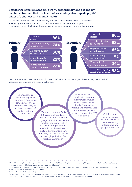#### Besides the effect on academic work, both primary and secondary teachers observed that low levels of vocabulary also impede pupils' wider life chances and mental health.

Self esteem, behaviour and a child's ability to make friends were all felt to be negatively affected by low levels of vocabulary. The diagram below illustrates the proportion of teachers surveyed who believe the word gap is impacting on pupils in the following ways $\mathfrak{u}$ .



Leading academics have made similarly stark conclusions about the impact the word gap has on a child's academic performance and wider life chances.

"A child who is not at the expected standard in language at the age of five is 11 times less likely to achieve the expected level in maths at

 $\frac{1}{2}$  "Research from the Early Intervention Foundation showed that children with language difficulties at age five were four times more likely to have reading difficulties in adulthood, three times as likely to have mental health problems, and twice as likely to be unemployed when they reached adulthood."13

"In 2016, just 12% of pupils with language difficulties achieved at least the expected standard in reading, writing and mathematics at the end of primary school, compared to 53% of all pupils."<sup>14</sup> Children with

better language will tend to develop better reasoning, inferencing and pragmatic skills."15

11Oxford University Press (2018) op cit.: 473 primary teachers and 840 secondary teachers were asked, *"Do you think vocabulary deficiency has any impact on a child's wider life chances with regards to the following?".*

12Department for Education, 2017 https://www.gov.uk/government/speeches/justine-greening-our-ambition-is-to-leave-no-community-behind 13Law, J., Charlton, J., Asmussen, K. (2017) op cit.

14Law, J., Charlton, J., Asmussen, K. (2017) op cit.

15Law, J., Charlton, J., Dockrell, J., Gascoigne, M., McKean, C., and Theakston, A. (2017) *Early Language Development: Needs, provision and intervention for preschool children from socioeconomically disadvantage backgrounds.* Education Endowment Foundation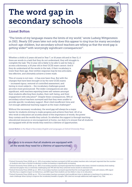### The word gap in secondary schools



#### Lionel Bolton

"The limits of my language means the limits of my world," wrote Ludwig Wittgenstein in 1921. Nearly 100 years later not only does this appear to ring true for many secondary school-age children, but secondary school teachers are telling us that the word gap is getting wider<sup>16</sup> with worryingly significant consequences<sup>17</sup>.

Whether a child is 11 years old and in Year 7, or 16 years old and in Year 11, if there are words in a task that they do not understand, they will struggle to complete the task. The 11 year old is likely to be able to ask for help or access a dictionary; a 16 year old in their GCSE exam cannot. And if they do understand all the words in the task, if their vocabulary is lower than their age, their written response may be less articulate, less effective, and ultimately achieve a lower mark.

This of course is not new – it has ever been thus. But with the changes that have been brought in by the new GCSE exams – increased rigour, removal of controlled assessment, and tiering in most subjects – the vocabulary challenges posed are even more pronounced. The wider consequences are also significant, with teachers reporting lower self-esteem amongst their students affecting their studies, their well-being, and their engagement with education<sup>18</sup>. Despite these consequences, 38% of secondary school teachers surveyed said that they were unable to provide specific vocabulary support. Most cited insufficient time and not enough additional teaching support as the main challenges<sup>19</sup>.

Without the necessary vocabulary, the word gap will always be a major barrier for students striving to make progress and achieve their best. All of us who work in education are acutely aware of the importance of words, the power they contain and the worlds they unlock. So whether the support is through teaching, educational resources or encouragement at home, our duty is to ensure that all students are equipped with all the words they need for a lifetime of opportunities.

*Lionel Bolton is the Head of Secondary English and Languages at Oxford University Press*

*Our duty is to ensure that all students are equipped with all the words they need for a lifetime of opportunities.*

16Oxford University Press (2018) op cit.: 60% of secondary teachers surveyed (of 840 secondary teachers who took part) reported that the number of students who have a limited vocabulary is either increasing or significantly increasing.

<sup>17</sup>Oxford University Press (2018) op cit.: 80% of secondary teachers surveyed reported that students who have a limited vocabulary find reading national test papers very or extremely challenging and 79% felt that they achieved worse results in national tests.

18Oxford University Press (2018) op cit.: 80% of secondary teachers surveyed reported that the word gap leads to lower self-esteem, 65% report that this has a negative impact on behaviour, and 82% report that students are less likely to stay on in education.

19Oxford University Press (2018) op cit.: 75% of secondary teachers surveyed cited insufficient time to dedicate to teaching of vocabulary as a main challenge when trying to improve the vocabulary breadth of pupils. 59% cited not enough additional staff support (e.g. TAs)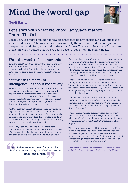# Mind the (word) gap



#### Geoff Barton

### Let's start with what we know: language matters. There. That's it.

Vocabulary is a huge predictor of how far children from any background will succeed at school and beyond. The words they know will help them to read, understand, gain new perspectives, and change or confirm their world view. The words they use will give them precision, clarity, nuance, as well as being used to judge them in exams, in life.

#### We – the word-rich – know this.

Thus the Year 10 pupil who says, "At the start of the play Macbeth is a hero but at the end he is a villain," will be judged as less intelligent than the one who writes, "Although he begins the play a hero, Macbeth ends as a villain."

### Yet this isn't a matter of intelligence. It's about vocabulary.

And that's why I think we should welcome an emphasis on closing the word gap. In reality the word gap will depend upon your circumstances rather than your choices – your home, your family, the richness of language and relationships, the presence of books and conversations, the habits you form as you grow up. These are things largely beyond our control.

And the problem with all of this for secondary teachers in particular is that such a context can render us vaguely helpless. Because if so much of the word gap is established so early, what does that leave for us to do, in our classrooms, across our subjects, with classes hurtling towards make-or-break examinations?

That's why I continue to believe that whole-school literacy remains the final frontier in our schools. Instead of feeling on the collective back foot, there are things we can each do to empower children and young people.

*Vocabulary is a huge predictor of how far children from any background will succeed at school and beyond.*

First – headteachers and principals need to act as leaders of learning. Whatever the other distractions, learning must be our core business. We set the tone for it. We make it happen in our schools. Thus we all need to know why literacy matters, and to ensure that someone in our leadership team relentlessly moves the literacy agenda forward, translating good intentions into action.

Second – middle and senior leaders need to frame literacy in their schools as not really being a matter of literacy. It's about teaching and learning. That means a teacher of Design Technology (DT) should see that his or her responsibility includes helping pupils to speak, read and write like a designer.

Which brings us to our third ingredient – for every teacher to know the key vocabulary of their subject. For example, in DT, "construct", "proximity", and "alignment", and the key vocabulary beyond their subject ("despite", "imply", "however").

This collective mission around vocabulary really isn't so difficult. And the rewards are significant. Because when we talk of closing the word gap, we actually mean something much bigger than that unassuming phrase implies.

We mean welcoming a child into a world of new ideas, insights and emotions, into a world that we, the wordrich, take for granted, and which we will routinely guarantee for our own children. That empowerment that comes through vocabulary should be the birthright of every child, whatever their background.

*Geoff Barton is General Secretary of the Association of School and College Leaders. He was an English teacher for 32 years.*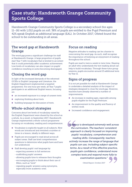### Case study: Handsworth Grange Community Sports College

Handsworth Grange Community Sports College is a secondary school (for ages 11–16) with 1,012 pupils on roll. 38% of pupils are entitled to the Pupil Premium and 42% speak English as additional language (EAL). In October 2017, Ofsted found the school to be outstanding in all areas.

#### The word gap at Handsworth Grange

The word gap poses a significant challenge for staff at Handsworth Grange. A large proportion of pupils start Year 7 with vocabulary that is limited to an extent that it could potentially affect academic achievement. Low levels of vocabulary can also impact on pupils' confidence resulting in some becoming disengaged.

### Closing the word gap

In light of the increased demands of the reformed GCSEs in English Language and Literature, the English Department implemented a targeted programme. For one hour per week, all Year 7 pupils participate in an additional English lesson, focusing on:

- **a** an increased exposure to a range of unseen texts
- exploring thinking about texts
- building language for discussion of texts.

#### Whole-school strategies

Concerns about low levels of vocabulary raised by the English Department were shared by the school as a whole. As a result, in September 2017, Handsworth Grange implemented a whole-school programme focusing on vocabulary, reading and comprehension.

- $\bullet$  Vocabulary is explicitly taught in all subjects. New words are introduced and revisited a number of times in a lesson, ideally in different ways.
- l Pupils are encouraged to read aloud across all subject areas. Staff use brief comprehension questions to determine what pupils have and have not understood.
- **C** Staff develop pupils' oral language by:
	- expecting answers in full sentences
	- scaffolding pupils' answers
	- allowing pupils time to rehearse their thoughts
	- encouraging pupils to think about their use of fillers, such as "innit"
	- repeating pupils' answers using synonyms, especially more academic ones.

#### Focus on reading

Negative attitudes to reading can be a barrier to overcoming the word gap. As such, staff recognise the importance of fostering an enjoyment of reading throughout the school.

Pupils are read to twice a week in tutor time. Hearing an adult who understands the text reading aloud can help to build vocabulary. Through these tutor group sessions, pupils encounter around 15 additional texts by Year 11.

#### Signs of progress

It is not yet possible for staff at Handsworth Grange to undertake a detailed analysis of the impact of strategies designed to close the word gap. However, teachers have already observed a number of improvements.

- **An increase in reading ages, especially among** pupils eligible for the Pupil Premium.
- An improvement in the quality and fluency of written work.
- **Increased confidence and engagement.**

*"Literacy is developed extremely well across the curriculum. The teachers' consistent approach is clearly focused on improving pupils' vocabulary, comprehension and reading skills. Consequently, teachers actively increase the range of language that pupils can use, including subject-specific terms. As a result of this effective practice, pupils gain confidence, understand more complex texts and respond more fully to examination questions."* 

Ofsted Report, October 2017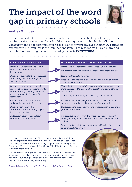# The impact of the word gap in primary schools



#### Andrea Quincey

It has been evident to me for many years that one of the key challenges facing primary teachers is the growing number of children coming into our schools with a limited vocabulary and poor communication skills. Talk to anyone involved in primary education and most will tell you this is the "number one issue". The reasons for this are many and complex but one thing is clear: this word gap affects EVERYTHING.

Struggle to understand and follow verbal – never mind written – instructions

Struggle to articulate their own needs and feelings including things they don't understand

Only ever learn the "mechanical" process of reading – decoding words without finding meaning and never really getting to the "pleasure" bit of reading at all

Lack ideas and imagination for talk and creative play with their peers

Struggle with both verbal communication and writing beyond the basic or functional

Suffer from a lack of self-esteem, confidence and motivation

#### A child without words will often … **Let's just think about what that means for the child …**

Is this child disobedient? Badly behaved? Or just confused?

How might such a child feel when faced with a task or a test?

How does this child get help?

Does he or she slip into silence or find other ways of getting the teacher's attention?

That's right – this poor child may never choose to do the one thing guaranteed to increase the breadth and depth of their vocabulary.

(The word you're looking for isn't irony, it's TRAGEDY!)

We all know that the playground can be a harsh and lonely environment for the child that has trouble joining in.

Never mind the fronted adverbials, what on earth is this child going to write about?

Children are smart – even if they are struggling – and will quickly identify themselves as weak learners, falling behind their peers.

Some might decide to try harder; most will resign themselves to failure and stop trying.

It is relatively easy to assume a link between the word gap and the rise of the EAL population, with parents who themselves had poor educational outcomes, with economic disadvantage or perhaps even with gender differences. The research carried out by OUP highlights that, sadly, this is a much wider problem.

It is therefore more important than ever that primary teachers – in all year groups – are given time across the curriculum to close the word gap so that our young children can succeed in primary school and beyond, both academically and socially.

*Andrea Quincey is the Head of English, Primary, at Oxford University Press*

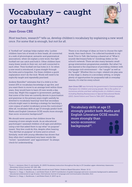### Vocabulary – caught or taught?



#### Jean Gross CBE

Most teachers, research<sup>20</sup> tells us, develop children's vocabulary by explaining a new word once. For some that is enough, but not for all.

A "football net" analogy helps explain why. Luckier children have lots of words in their heads, all connected in a web of phonological, semantic and grammatical associations. when we explain a new word, this tight football net can catch and hold it. Other children have many fewer words in their net, not well connected to each other. Their football net has holes in it. So when a new word is introduced, it goes straight through the holes and is forgotten. For these children a quick explanation won't do the trick. Words will need to be explicitly taught and repeatedly practised.

Andrew Biemiller $^{21}$  estimates that if a child is in the lowest 20% in vocabulary knowledge at age five, and you want them to move to an average level within three years, they would have to learn 20 new words a day, every day. Might this suggest to government, perhaps, that some of the time we currently devote to punctuation and grammar in the primary years might usefully be diverted to vocabulary learning? And that secondary schools might want to develop a strategy for teaching a core corpus of useful vocabulary across the curriculum? After all, vocabulary skills at age 13 strongly predict both Maths and English Literature GCSE results more strongly than socio-economic background<sup>22</sup>.

We should never assume that children know the meaning of even simple words. As an educational psychologist I assessed children of all ages and abilities using a test that asked them to say what "on purpose" meant. Very few could do this, despite often hearing "You did that on purpose" at home and in school. Similarly, work with young offenders has shown that they often don't understand very basic words like "victim", "punishment", and "appointment". So always check for understanding.

There is no shortage of ideas on how to choose the right words, then teach them. I've collected hundreds in my book *Time to Talk*, like having a shared set of "What it sounds like/means/links to" mindmap slides on the school's network. There are also many fantastic smallgroup intervention programmes available. But what I've also learned is the importance of providing children with a language-rich environment – the "caught" as well as the "taught". Whether this is a topic-related role play area in key stage 2, drama in a secondary setting, or simply plenty of opportunities for purposeful talk in everyday lessons, it's vital for every school.

*Jean Gross CBE was formerly the government's Communication Champion for children and young people. She is the author of numerous articles and best-selling books on children's issues, including* Beating Bureaucracy in Special Educational Needs *(2013, David Fulton) and* Time to Talk *(2017, Routledge).*

Vocabulary skills at age 13 strongly predict both Maths and English Literature GCSE results more strongly than socio-economic background<sup>23</sup>.

21 Biemiller, A. (2011) Vocabulary: what words should we teach? Better: *Evidence Based Education*, Winter: 10-11.

<sup>&</sup>lt;sup>20</sup>Scott, J., Jamieson-Noel, D. and Asselin, M. (2003) Vocabulary instruction throughout the day in 23 Canadian upper-elementary classrooms. *Elementary School Journal*, 103: 269–286.

<sup>22</sup>Spencer, S., Clegg, J., Stackhouse, J. and Robert Rush, R. (2017) Contribution of spoken language and socio-economic background to adolescents' educational achievement at age 16 years. *International Journal of Language and Communication Disorders*, 52:2 23Spencer, S., Clegg, J., Stackhouse, J. and Robert Rush, R. (2017) op cit.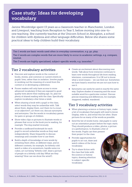### Case study: Ideas for developing vocabulary

Janine Wooldridge spent 13 years as a classroom teacher in Manchester, London and Liverpool, teaching from Reception to Year 5, before moving into one-toone teaching. She currently teaches at the Unicorn School in Abingdon, a school for children with dyslexia and other language di culties. Below she shares some practical ideas to help children build their vocabulary.

Tier 1 words are basic words used often in everyday conversation, e.g. go, play. Tier 2 words are complex words that are more likely to occur in academic settings, e.g. compare, neutral.

Tier 3 words are highly specialised, subject-speci c words, e.g. isosceles. 24

#### Tier 2 vocabulary activities

- O Discover and explore words in the context of books, stories, and common or current events in pupils' lives, rather than in isolation. Involve pupils in working out the meaning of a word from the context or in developing a de nition.
- O Poorer readers will only have access to more advanced vocabulary if they are exposed to good quality texts above their reading age. So, plan for plenty of shared reading with the class. Speci cally explore vocabulary a few times a week.
- O When sharing a book with a pupil or the class, select words they may be unfamiliar with. Talk about them, display them, sort them (is it a noun or an adjective?), act them out, discuss synonyms and antonyms. Use the words in vocabulary games for pairs or groups of children.
- O Show video clips or pictures to illustrate words or phrases that occur in the book you're reading, for example: The dog snarled viciously.
- O Provide a cardboard bookmark for each pupil to record unfamiliar words as they read independently. Share frequently to discuss meanings and consider how to use them.
- O Build a depth of knowledge of new words by revisiting them often, in di erent wavs, and in di erent contexts, for example, for bitterly cold: watch a video of a snowstorm, handle some ice cubes, act out being "bitterly cold", draw a picture of people on a bitterly cold day (What are they wearing? How can we show the wind?).
- O Create an excitement about discovering new words. Talk about how everyone continues to learn new words throughout life from reading, television, conversations. It is OK not to know what a word means – we can nd out. Sometimes we have heard a word but we are not sure how to use it.
- O Synonyms can rarely be used in exactly the same way. Explore shades of meaning and the most suitable word for a particular context. Discuss precise meaning and di erences, for example, staggered, walked, wandered.

#### Tier 3 vocabulary activities

- O When planning a science or history topic, make a list of vocabulary that pupils will need to know. Display, refer to, and revisit this list often. Share pictures for as many of the words as possible.
- O Send the list of words home. Ask pupils to carry out an orientation project before the topic starts. They should produce a video, photos, a picture or a performance, to illustrate a few of the words. Pupils can then present their project to the class.
- O Provide opportunities for pupils to act out, draw and watch videos of the focus vocabulary.
- O Try to share ction with the class that links with the science or history topics, drawing attention to subject-speci c vocabulary.

24Beck, I.L., & McKeown, M. G. (1985). 'Teaching vocabulary: Making the instruction t the goal'. Educational Perspectives, 23(1), 11-15.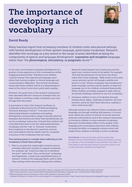### **The importance of** developing a rich vocabulary

#### David Reedy

Many teachers report that increasing numbers of children enter educational settings with limited development of their spoken language, particularly vocabulary. Research identi es this word gap as a key strand in the range of areas identi ed as being the components of speech and language development: expressive and receptive language, rather than "the phonological, articulatory, or pragmatic facets"  $25$ .

In my view, more limited vocabulary development is a product of less experience of rich conversations within engaging shared activity. Therefore such children could be termed "less experienced language users" rather than having complex or clinical language and communication di culties. This limited vocabulary means that these children will be at a disadvantage in areas of the school curriculum, particularly reading.

However, the good news is that research and practice have identi ed e ective classroom strategies that can help children to develop a wider vocabulary and close the gap with their peers.

A good place to start is the research synthesis on vocabulary instruction by the US National Reading Technical Assistance Center <sup>26</sup>. It focuses on the relationship between vocabulary and reading development, and provides a range of speci c practical strategies that teachers and Early Years professionals can use for vocabulary instruction. It found that children will most e ectively learn to see the relationship between vocabulary and the "real" or "ctional" world when that vocabulary is introduced in practical contexts and conversations. But the adults must be constantly conscious of the vocabulary they are using.

Two starting points to consider when re ecting on the vocabulary in Early Years settings:

1. Plan to use practical, meaningful contexts such as everyday classroom routines to expand vocabulary. For example, say "Could you help me to distribute the fruit?" rather than "Give out the fruit". In Barking and Dagenham, a small scale unpublished piece of research looked at the language adults used in Early Years settings when they were talking with children.

Research found frequent use of pronouns and the same very common words in the adults. For example, "Pick that up and bring it to me from over there," rather than richer language, "Walk slowly to the home corner and pick up the red triangle carefully and return it to me". Richer vocabulary was introduced in these everyday contexts and the quality of observed language use in the children increased dramatically. When children are deeply engaged in tasks with us, we should challenge ourselves to use rich vocabulary.

2. Introduce children to lots of vocabulary through reading aloud. Again, challenge yourselves: are your teachers, and your Early Years educators, reading to every child every day?

Although teachers can in uence home vocabulary and language use through working with parents, it is much more within the control of schools to use the practical methods outlined above and in the research summaries to introduce children to more extensive vocabulary. Educators should always re ect on the quality of the language and conversations they have with children, focusing this e ort on engaging contexts which will enable those children to develop a richer vocabulary.

David Reedy is General Secretary and Immediate Past President of the United Kingdom Literacy Association and was Co-Director of the Cambridge Primary Review Trust (2013–17). Until 2014 he was Principal Adviser for primary schools in the London Borough of Barking and Dagenham.

<sup>25</sup>Department of Education Northern Ireland (2017). Speech, Language and Communication Diculties is an excellent summary

https://www.education-ni.gov.uk/sites/default/les/publications/de/speech-language-and-communication-diculties.pdf

<sup>26</sup>National Reading Technical Assistance Center, RMC Research Corporation (2010)

A Research Synthesis: A review of the current research on vocabulary instruction. https://www2.ed.gov/programs/readingrst/support/rmcnal1.pdf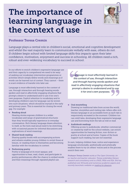### The importance of learning language in the context of use



#### Professor Teresa Cremin

Language plays a central role in children's social, emotional and cognitive development and whilst the vast majority learn to communicate verbally with ease, others do not. If children begin school with limited language skills this impacts upon their later confidence, motivation, enjoyment and success in schooling. All children need a rich, robust and ever-widening vocabulary to succeed in school.

In our efforts to enrich children's expressive language use and their capacity to comprehend we need to be wary of seeking out vocabulary intervention programmes or activities which simply define words and meanings as if words can be learned out of context. They cannot – there is scant evidence of transfer into later use.

Language is most effectively learned in the context of use, through interaction and through hearing words spoken and read in affectively engaging situations that prompt a desire to understand and to use it for one's own purposes. Explicit attention to vocabulary and to developing children's ears for language can be woven into such situations, which should be myriad in the early and primary years. This is essential for closing the word gap. For example:

#### **Reading aloud**

Hearing stories exposes children to a wider vocabulary and range of grammatical structures than they would typically experience in everyday conversation. Rich literary language draws attention to itself, so the texts read aloud need to be stretching, with occasional pauses for informal discussions and explorations of word meanings.

#### **C** Shared-book reading

Sharing quality books with accompanying actions and refrains enables young children to revisit these at leisure, re-reading them to themselves and becoming familiar with the vocabulary in context.

#### **Performing poetry**

Poetry is language at its most opaque, and opportunities to hear, read, chant, and participate in poetry performances offer the chance to embed words and their meanings through repeated playful use.

*Language is most effectively learned in the context of use, through interaction and through hearing words spoken and read in affectively engaging situations that prompt a desire to understand and to use it for one's own purposes.*

#### **Oral storytelling**

Drawing on traditional tales from across the world, teacher-storytellers and visiting tale-tellers offer rich literary language in an accessible form as each tale is responsively recreated in the moment. Children too can retell tales, developing their expressive language use and borrowing from the tale as told or read.

#### **Audiobook readings**

Offering access to audiobooks, whether commercial or created by staff for the school website, can enrich opportunities for hearing fiction, non-fiction or poetry at school and at home. Copies of the book support such reading, but are not essential.

In sum, helping children hear, notice and experience language emotionally, aesthetically and artistically enables them to try on others' voices and in the process enrich their own.

*Professor Teresa Cremin works at The Open University. An ex-teacher and teacher-educator, Teresa undertakes literacy research and consultancy and is a FASS, FRSA and FEA. She has published over 30 books and numerous academic papers and recently launched a website on [reading for pleasure.](https://researchrichpedagogies.org/research/reading-for-pleasure)*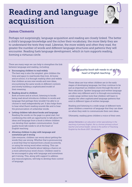### Reading and language acquisition



#### James Clements

Perhaps not surprisingly, language acquisition and reading are closely linked. The better a child's language knowledge and the richer their vocabulary, the more likely they are to understand the texts they read. Likewise, the more widely and often they read, the greater the number of words and different language structures and patterns they will encounter. Reading fuels language development, which in turn supports reading, forming a virtuous circle.

There are many ways we can help to strengthen the link between language and reading, including:

- **Encouraging children to read widely** The best way is also the simplest: give children the time and space to read books they love. At home and at school, it is through reading often and widely that children access new words and new ideas, encountering the same words in different contexts and slowly building a sophisticated model of their meaning.
- Reading aloud to children Both at home and at school, listening to books being read aloud introduces children to words and language that perhaps they wouldn't be able to or choose to read independently yet. It also helps them to hear what fluent reading sounds like and to hear the pronunciation of unfamiliar words.
- **I** Letting children talk about books and language Reading the words on the page is a great start, but combining this with an opportunity to talk about the ideas and language from a book is where children can develop their spoken communication. Good quality book talk needs to sit at the heart of English teaching.
- **Allowing children to play with language and** sometimes get it wrong

Like everyone, children can worry about getting the words they use wrong. Whether that is pronouncing a word that they've learned from a book incorrectly, or using the wrong word when writing. This can lead children to be fearful about taking a chance on a more adventurous word choice. Children need to be encouraged to play with language and sometimes get it wrong. This, along with support to address any misconceptions, will help to develop their control of language.

*Good quality book talk needs to sit at the heart of English teaching.*

These ideas are true when children are in the early stages of developing language, but they continue to be just as important as children move through the rest of their education. Spoken language and written language are often very different and it is through encountering a wide range written texts that children will learn to employ the often sophisticated language patterns that exist in different types of written language.

Reading and listening to a wide range of different texts gives children a reservoir of language that they can draw on when they wish to communicate their own ideas.

Ultimately, reading gives children a voice of their own.

*James Clements is an education writer specialising in the teaching of primary English. He is a former primary school teacher and school leader. James is the author of* Teaching English by the Book *(2017, Routledge).*

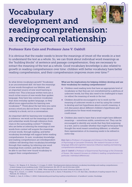# Vocabulary development and reading comprehension: a reciprocal relationship

#### Professor Kate Cain and Professor Jane V. Oakhill

It is obvious that the reader needs to know the meanings of (most of) the words in a text to understand the text as a whole. So, we can think about individual word meanings as the "building blocks" of sentence and passage comprehension; they are necessary to extract the meaning of the text as a whole. Good vocabulary knowledge is also related to growth in reading comprehension over time: children with better vocabulary have better reading comprehension, and their comprehension improves more over time.<sup>27</sup>

So what drives vocabulary growth? Vocabulary is an unconstrained skill: we learn the meanings of new words throughout our lifetime, and an important source of new word learning is written text. This is because written texts are a much richer source of new words than spoken language; they have less common vocabulary than does everyday spoken language, so they afford more opportunities for learning new vocabulary.28 Think about the last time you came across a word you did not know: it was almost certainly in a book, not in a conversation.

An important skill for learning new vocabulary is inference: we work out the meanings of new and unfamiliar words through inference from clues in the surrounding context.29 Children who are better at inferring the meanings of new words from context will acquire the meanings of more words, through reading; and better vocabulary knowledge will support better reading comprehension. In sum, vocabulary knowledge and reading comprehension are interdependent: children will develop their vocabulary knowledge through their reading, by inferring new word meanings from context, and they will then be able to use their new-found vocabulary to support their comprehension.<sup>30</sup>

What are the implications for helping children develop and use their vocabulary for reading comprehension?

- **Children need reading texts that have an appropriate level of** vocabulary so that they are not overwhelmed by a plethora of unknown words, but they also need to be challenged to learn (or refine) the meaning of words in the text.
- **Children should be encouraged to try to work out the** meaning of unknown words in a text by using the context to develop and test hypotheses about a word's meaning. A rich discussion about different children's hypotheses and justifications for these word meanings could ensue.
- **Children also need to learn that a word might have different** meanings – sometimes subtle, sometimes not. They can be encouraged to identify any words that they find surprising in a text, and to consider whether that might be because they thought the word meant something different, or whether their representation of its meaning needs to be refined in some way.

*Kate Cain is Professor of Language and Literacy in the Department of Psychology at Lancaster University. Her research focuses on how language skills and cognitive resources influence reading and listening comprehension development.*

*Jane V. Oakhill is Professor of Experimental Psychology at the University of Sussex. Her research focuses on children's reading comprehension (in particular, individual differences).* 

<sup>27</sup>Quinn, J. M., Wagner, R. K., Petscher, Y., & Lopez, D. (2015). 'Developmental relations between vocabulary knowledge and reading comprehension: A latent change score modeling study'. *Child Development*, 86, 159-175. doi:10.1111/cdev.12292

<sup>28</sup>Cunningham, A. E., & Stanovich, K. E. (1998). 'What reading does for the mind'. *American Educator*, 22, 8-15.

<sup>29</sup>Nagy, W. E., & Scott, J. A. (2000). 'Vocabulary processes' In M. L. Kamil, P. Mosenthal, P. P. D., & R. Barr (Eds.), *Handbook of reading research* (Vol. 3). Mahwah, NJ: Erlbaum.

<sup>30</sup>Oakhill, J., Cain, K., & Elbro, C. (2014). *Understanding and teaching reading comprehension: A handbook*. London: Routledge.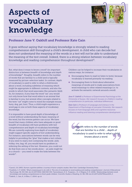## Aspects of vocabulary knowledge



#### Professor Jane V. Oakhill and Professor Kate Cain

It goes without saying that vocabulary knowledge is strongly related to reading comprehension skill throughout a child's development. A child who can decode but does not understand the meaning of the words in a text will not be able to understand the meaning of the text overall. Indeed, there is a strong relation between vocabulary knowledge and reading comprehension throughout development<sup>31</sup>.

But, what does it mean to know a word? An important distinction is between *breadth* of knowledge and *depth* of knowledge<sup>32</sup>. Roughly, breadth refers to the number of words that are familiar to a child (and is typically measured by picture-selection tasks). In contrast, depth of vocabulary is used to refer to what a child knows about a word, including subtleties of meaning which might be appropriate in different contexts, and also the words to which that word associates (the semantic field). So, for instance, if you hear the word "cat," you would not only know how that word refers to an animal that is familiar to you, but several other concepts related to the term "cat" might come to mind (for example mouse, furry, dog, pet, lion). Thus, a child might experience a word gap in one or both these aspects of vocabulary knowledge.

It is impossible to have good depth of knowledge of a word without understanding the basic meaning of the word, but the reverse pattern can occur. We have found that many children who have adequate or good breadth of vocabulary still have problems with text comprehension and depth of vocabulary knowledge. We are currently exploring how depth of vocabulary might support specific aspects of text understanding. For instance, associations between words can be very helpful in providing the "glue" that makes a text cohere. If you were to read a text containing the words: *aisle, trolley, tins, bag, till*, you would have no problem in inferring the setting of the text. However, you could not do that from one or two words alone – an aisle might be in a church – you need to make the links between the words<sup>33</sup>.

Children can be helped to increase their vocabularies in various ways, for instance:

- **C** Encouraging them to read (or listen to texts), because vocabulary is learned primarily via reading.
- $\bullet$  Encouraging them to think about alternative meanings of words and to make associations from word meanings to other related meanings (i.e. to activate the semantic network around a word).

*Jane V. Oakhill is Professor of Experimental Psychology at the University of Sussex. Her research focuses on children's reading comprehension (in particular, individual differences).* 

*Kate Cain is Professor of Language and Literacy in the Department of Psychology at Lancaster University. Her research focuses on how language skills and cognitive resources influence reading and listening comprehension development.*

*Breadth refers to the number of words that are familiar to a child ... depth of vocabulary is used to refer to what a child knows about a word.*

31Carroll, J.B. (1993). *Human cognitive abilities: A survey of factor-analytic studies*. New York: Cambridge University Press. 32Ouellette, G. P. (2006). 'What's meaning got to do with it: The role of vocabulary in word reading and reading comprehension'. *Journal of Educational Psychology*, 98, 554-566. doi:10.1037/0022-0663.98.3.554; Tannenbaum, K. R., Torgesen, J. K., & Wagner, R. K. (2006). 'Relationships between word knowledge and reading comprehension in third-grade children'. *Scientific Studies of Reading*, 10, 381-398. doi:10.1207/s1532799xssr1004\_3 33Oakhill, J., Cain, K., & Elbro, C. (2014). op cit.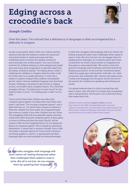### Edging across a crocodile's back



#### Joseph Coelho

. . . . . . . . . . . .

Over the years, I've noticed that a deficiency in language is often accompanied by a difficulty to imagine.

As part of my author visits I often run creative writing sessions that take the students outside the classroom using their bodies to climb and jump and then translating these activities into spoken sentences and eventually into written poems. One such activity involves the children playing on their playground jungle gym and using their imagination to describe what they are doing. Instead of saying, "I'm sliding down a slide", I challenge the children to imagine what the slide could be if they were on a jungle adventure. Could it be a snake or a giant's tongue! Most children immediately get the "game" and are suddenly hopping over lava (hula hoops), climbing a mountain (a gym horse) or edging across a crocodile's back (a balance beam). The child that struggles will say, "I'm balancing on some wood" for the balance beam or even, "I'm sliding down a slide" for the slide.

I have noticed that these children are often avid computer game players. So rather than have them shut down I ask them, "Do you play computer games?" and a light switches on. I've given them a frame of reference. However, despite this new angle, the imaginative play that comes so easily to the other children just isn't there. The struggling child will now gleefully repeat a few key words from their favourite computer game. If their game of choice is *Minecraft* then the word "blocks" will be used as a filler for the imagined thing. I'm not laying the blame on computer games. This is simply an anecdotal observation. It seems fair to assume, though, that a child who plays computer games for hours every evening is not being spoken to, read to, or questioned and their language skills are most probably not being developed.

*A child who struggles with language will soon switch off, feeling threatened rather than challenged when asked to read or write. But all is not lost, we can engage them by speaking their language.*

A child who struggles with language will soon switch off, feeling threatened rather than challenged when asked to read or write. But all is not lost, we can engage them by speaking their language. If a computer game gets them excited then we need to find reviews in magazines for that game or associated books. We need to mine that game for language and vocabulary and build that list by finding associations. In the activity I mentioned above I label the jungle gym with familiar verbs like: r*un, slide, jump* and a few unfamiliar like: traverse and edge across. I sneak new language into the game and by the end of the session the children are speaking and writing new words.

I've always believed that if a child is excited they will want to learn, they will want to increase their vocabulary and to ask questions. All we have to do is find that thing that makes them tick.

*Children's author and poet Joseph Coelho has been long-listed for the 2018 Carnegie Medal with his poetry collection* Overheard In A Tower Block *(Otter-Barry Books). His debut poetry collection* Werewolf Club Rules *(Frances Lincoln) was the winner of the 2015 CLiPPA Poetry Award.* 

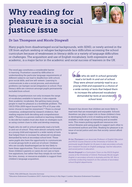## Why reading for pleasure is a social justice issue



#### Dr Ian Thompson and Nicole Dingwall

Many pupils from disadvantaged social backgrounds, with SEND, or newly arrived in the UK from asylum seeking or refugee backgrounds face difficulties accessing the school curriculum because of weaknesses in literacy skills or a variety of language difficulties or challenges. The acquisition and use of English vocabulary, both expressive and academic, is a major factor in the academic and social success of learners in the UK.

The word gap constitutes a considerable barrier to learning. Frustration caused by difficulties in understanding the particular language requirements of different subjects can lead to disaffection with school, poor social skills, and low self-esteem. Learning to communicate is also a social process, and emotional problems can hamper social integration in school. Poor literacy skills are common amongst pupils permanently excluded from school.

Reading comprehension not only increases the range of vocabulary available to learners, it also expands their academic vocabulary. But getting many young people to read for pleasure is a worldwide problem. The OECD PISA 2009 report found that 37% of 15 year olds never choose to read for enjoyment.<sup>34</sup> There is a broad consensus, underpinned by research evidence, that reading requires both decoding and comprehension skills.<sup>35</sup> Phonics is a proven method in teaching children to decode but readers must also draw on strategies such as using context clues to infer and develop meaning.

Pupils who do well in school generally read a lot both in and out of school. They were almost certainly read to as a young child and exposed to a wide variety of texts that helped them to increase the advanced vocabulary demanded by texts at secondary school level. These same pupils also have the opportunity to communicate in social groups both in and out of school. Children who are socially disadvantaged are far less likely to have these opportunities. This is normally not because these children's parents or carers do not care or have low aspirations, but rather that they simply do not have the time, money, or resources available to support their children's language acquisition.

*Pupils who do well in school generally read a lot both in and out of school. They were almost certainly read to as a young child and exposed to a choice of a wide variety of texts that helped them to increase the advanced vocabulary demanded by texts at secondary school level.*

Research has shown that children are more likely to read texts that are meaningful and enjoyable. Schools therefore can play a major role in these children's lives in developing both a love of reading and by making available a wide range of interesting and accessible texts. This means putting significant resources into school libraries and using pupils to support each other to recommend authors and titles. Reading for pleasure is an issue of social justice and one that society cannot afford to ignore.

*Dr Ian Thompson is an Associate Professor of English Education and PGCE Course Director at the University of Oxford. He previously taught English for 16 years in state secondary schools. Ian's research focuses on English pedagogy, teacher education, and social justice in education.* 

*Nicole Dingwall is a Curriculum Tutor on the PGCE English course at the University of Oxford. Previously Nicole taught English in secondary schools in Australia and the UK. She is currently conducting research on the cultures of secondary school English departments.*

34(2010), *PISA 2009 Results: Executive Summary*

35Education Endowment Foundation (2017). *Improving Literacy in Key Stage 2.* London: Education Endowment Foundation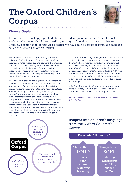# The Oxford Children's Corpus



#### Vineeta Gupta

To compile the most appropriate dictionaries and language reference for children, OUP analyses all aspects of children's reading, writing, and curriculum materials. We are uniquely positioned to do this well, because we have built a very large language database called the *Oxford Children's Corpus*.

The *Oxford Children's Corpus* is the largest known children's English language database in the world and growing. It holds vocabulary and contexts that children come across in their reading, words they use in their own writing, and the language they need to learn at school. It contains everyday vocabulary, new and recently coined words, subject specific language, and instructional, academic language.

The *Oxford Children's Corpus* gives us all the evidence needed to put together an accurate picture of children's language use. Our lexicographers and linguists track language change, and understand the needs of children whatever their age. Through deep error analysis into spelling, grammar, and punctuation, combined with academic research at Oxford University into comprehension, we can understand the strengths and weaknesses of children aged 5, 9, or 13. Our data and search engine tools can identify precisely where the language gaps are. We now need to involve teachers and educational bodies to take our corpus findings forward and incorporate them into their own thinking and planning.

The ultimate aim of language experts and practitioners is to lift children out of language poverty. Going forward, the most reliable methods for achieving this aim will need to be backed by real evidence. Any evidence or research findings can only be as good as the data they are based on. I believe that the *Oxford Children's Corpus*  is the most robust and neutral evidence available today and can help steer teachers, publishers and researchers to develop the best tools and resources needed to close the word gap.

At OUP we know what children are saying, and to quote Ignacio Estrada, "If a child can't learn in the way we teach, maybe we should teach the way they learn."

*Vineeta Gupta is Head of Children's Dictionaries at Oxford University Press* 

Insights into children's language from the *Oxford Children's Corpus* The words children use for



21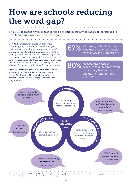## How are schools reducing the word gap?

The OUP research revealed that schools are employing a wide range of techniques to help their pupils overcome the word gap.

Despite the importance placed on improving vocabulary, only a minority of schools surveyed have in place a school-wide programme to identify and support pupils with a limited vocabulary. 27% of primary school teachers and 29% of secondary school teachers said that they have such a programme in their school. Those polled identified a number of challenges to overcome, notably finding the necessary time in which to design and conduct an effective programme.

Teachers working in schools where a school-wide vocabulary programme exists mention a wide range of techniques. These can be broadly categorised into three core areas, illustrated in the diagram below.

67% of primary school teachers said that broadening pupils' vocabulary is a high priority

80% of secondary school<br>80% teachers said that improving vocabulary is at least a medium priority for their  $school<sup>36</sup>$ 



medium priority for their school. 36% stated it was a high priority.